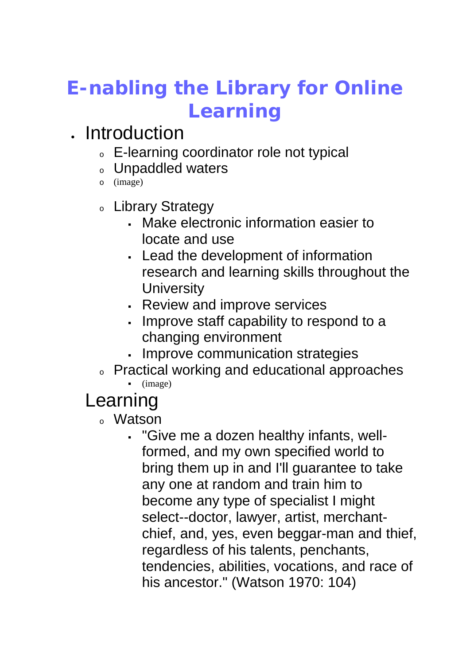# **E-nabling the Library for Online Learning**

## . Introduction

- <sup>o</sup> E-learning coordinator role not typical
- Unpaddled waters
- o (image)
- <sup>o</sup> Library Strategy
	- Make electronic information easier to locate and use
	- Lead the development of information research and learning skills throughout the **University**
	- Review and improve services
	- . Improve staff capability to respond to a changing environment
	- . Improve communication strategies
- <sup>o</sup> Practical working and educational approaches
	- $\blacksquare$  (image)

## Learning

- <sup>o</sup> Watson
	- "Give me a dozen healthy infants, wellformed, and my own specified world to bring them up in and I'll guarantee to take any one at random and train him to become any type of specialist I might select--doctor, lawyer, artist, merchantchief, and, yes, even beggar-man and thief, regardless of his talents, penchants, tendencies, abilities, vocations, and race of his ancestor." (Watson 1970: 104)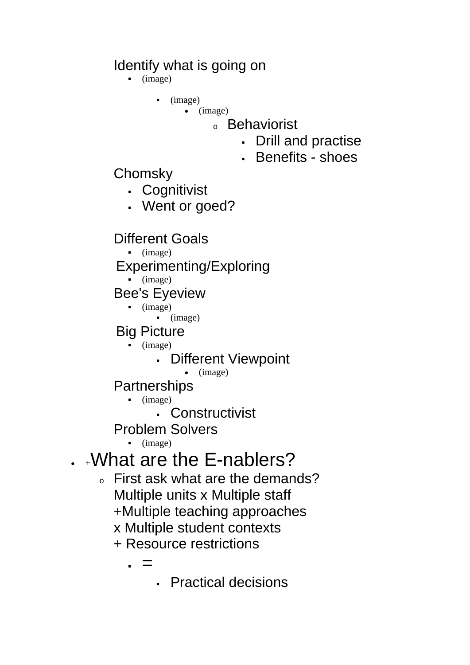### Identify what is going on

- (image)
	- $\blacksquare$  (image)
		- (image)
			- <sup>o</sup> Behaviorist
				- Drill and practise
				- Benefits shoes
- Chomsky
	- Cognitivist
	- Went or goed?

### Different Goals

 $\blacksquare$  (image)

#### Experimenting/Exploring

(image)

### Bee's Eyeview

 $\blacksquare$  (image)  $\blacksquare$  (image)

### Big Picture

- (image)
	- Different Viewpoint
		- (image)

#### Partnerships

- (image)
	- Constructivist

Problem Solvers

(image)

## $\cdot$   $\downarrow$ What are the E-nablers?

- <sup>o</sup> First ask what are the demands? Multiple units x Multiple staff +Multiple teaching approaches x Multiple student contexts
	- + Resource restrictions
		- . =
			- Practical decisions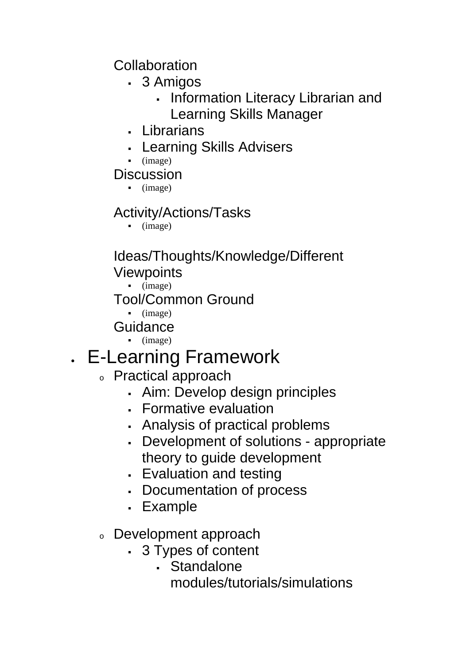Collaboration

- 3 Amigos
	- . Information Literacy Librarian and Learning Skills Manager
- Librarians
- Learning Skills Advisers
- $\blacksquare$  (image)

**Discussion** 

 $\blacksquare$  (image)

### Activity/Actions/Tasks

(image)

### Ideas/Thoughts/Knowledge/Different **Viewpoints**

(image)

Tool/Common Ground

 $\blacksquare$  (image)

Guidance

(image)

## E-Learning Framework

- <sup>o</sup> Practical approach
	- Aim: Develop design principles
	- Formative evaluation
	- Analysis of practical problems
	- Development of solutions appropriate theory to guide development
	- Evaluation and testing
	- Documentation of process
	- Example
- <sup>o</sup> Development approach
	- 3 Types of content
		- Standalone modules/tutorials/simulations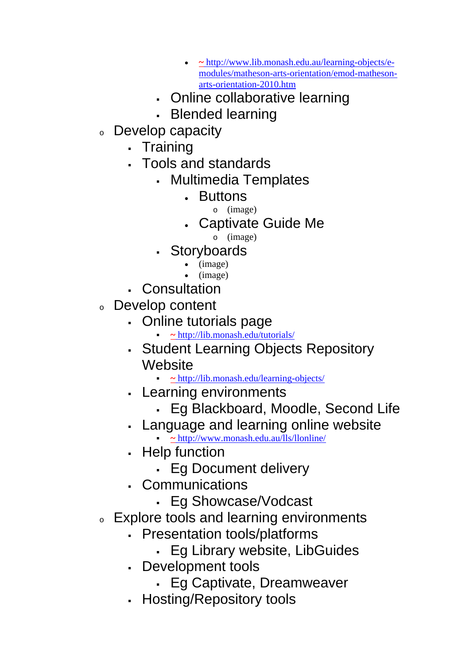- **~** http://www.lib.monash.edu.au/learning-objects/emodules/matheson-arts-orientation/emod-mathesonarts-orientation-2010.htm
- Online collaborative learning
- Blended learning
- <sup>o</sup> Develop capacity
	- . Training
	- Tools and standards
		- Multimedia Templates
			- **Buttons** 
				- o (image)
			- Captivate Guide Me
				- o (image)
		- Storyboards
			- (image)
			- (image)
	- Consultation
- <sup>o</sup> Develop content
	- Online tutorials page
		- **~** http://lib.monash.edu/tutorials/
	- Student Learning Objects Repository **Website** 
		- **~** http://lib.monash.edu/learning-objects/
	- Learning environments
		- Eg Blackboard, Moodle, Second Life
	- Language and learning online website
		- **~** http://www.monash.edu.au/lls/llonline/
	- Help function
		- Eg Document delivery
	- Communications
		- Eg Showcase/Vodcast
- Explore tools and learning environments
	- Presentation tools/platforms
		- Eg Library website, LibGuides
	- Development tools
		- Eg Captivate, Dreamweaver
	- Hosting/Repository tools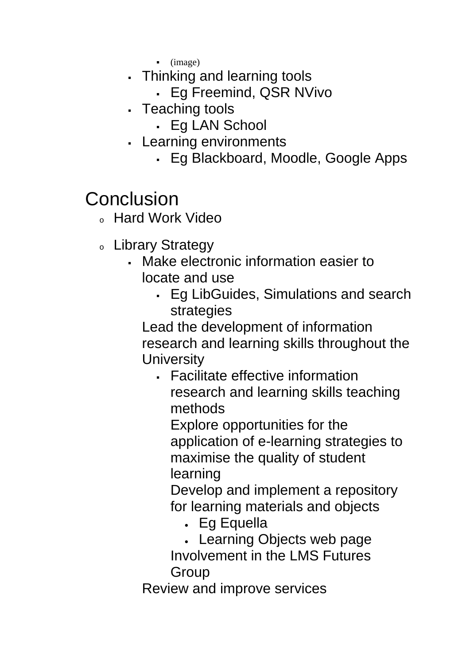(image)

- Thinking and learning tools
	- Eg Freemind, QSR NVivo
- Teaching tools
	- Eg LAN School
- Learning environments
	- Eg Blackboard, Moodle, Google Apps

## **Conclusion**

- <sup>o</sup> Hard Work Video
- <sup>o</sup> Library Strategy
	- Make electronic information easier to locate and use
		- Eg LibGuides, Simulations and search strategies

Lead the development of information research and learning skills throughout the **University** 

 Facilitate effective information research and learning skills teaching methods

Explore opportunities for the application of e-learning strategies to maximise the quality of student learning

Develop and implement a repository for learning materials and objects

- Eg Equella
- Learning Objects web page Involvement in the LMS Futures Group

Review and improve services